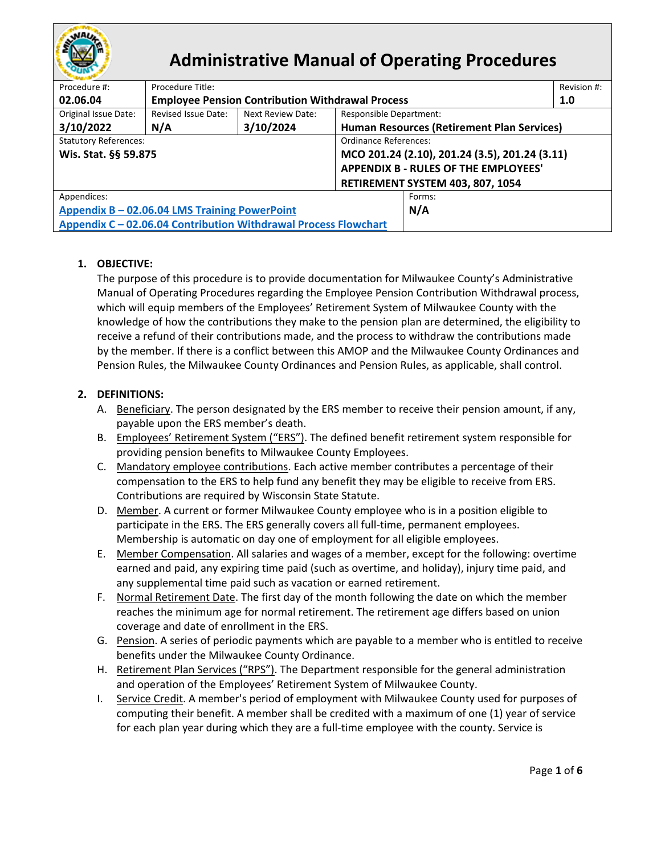

# **Administrative Manual of Operating Procedures**

| Procedure #:                                                    | Procedure Title:                                        |                                  |                                                | Revision #: |  |
|-----------------------------------------------------------------|---------------------------------------------------------|----------------------------------|------------------------------------------------|-------------|--|
| 02.06.04                                                        | <b>Employee Pension Contribution Withdrawal Process</b> |                                  | 1.0                                            |             |  |
| Original Issue Date:                                            | Revised Issue Date:                                     | <b>Next Review Date:</b>         | <b>Responsible Department:</b>                 |             |  |
| 3/10/2022                                                       | N/A                                                     | 3/10/2024                        | Human Resources (Retirement Plan Services)     |             |  |
| <b>Statutory References:</b><br>Ordinance References:           |                                                         |                                  |                                                |             |  |
| Wis. Stat. §§ 59.875                                            |                                                         |                                  | MCO 201.24 (2.10), 201.24 (3.5), 201.24 (3.11) |             |  |
|                                                                 |                                                         |                                  | <b>APPENDIX B - RULES OF THE EMPLOYEES'</b>    |             |  |
|                                                                 |                                                         | RETIREMENT SYSTEM 403, 807, 1054 |                                                |             |  |
| Appendices:                                                     |                                                         |                                  | Forms:                                         |             |  |
| Appendix B - 02.06.04 LMS Training PowerPoint                   |                                                         |                                  | N/A                                            |             |  |
| Appendix C - 02.06.04 Contribution Withdrawal Process Flowchart |                                                         |                                  |                                                |             |  |

## **1. OBJECTIVE:**

The purpose of this procedure is to provide documentation for Milwaukee County's Administrative Manual of Operating Procedures regarding the Employee Pension Contribution Withdrawal process, which will equip members of the Employees' Retirement System of Milwaukee County with the knowledge of how the contributions they make to the pension plan are determined, the eligibility to receive a refund of their contributions made, and the process to withdraw the contributions made by the member. If there is a conflict between this AMOP and the Milwaukee County Ordinances and Pension Rules, the Milwaukee County Ordinances and Pension Rules, as applicable, shall control.

## **2. DEFINITIONS:**

- A. Beneficiary. The person designated by the ERS member to receive their pension amount, if any, payable upon the ERS member's death.
- B. Employees' Retirement System ("ERS"). The defined benefit retirement system responsible for providing pension benefits to Milwaukee County Employees.
- C. Mandatory employee contributions. Each active member contributes a percentage of their compensation to the ERS to help fund any benefit they may be eligible to receive from ERS. Contributions are required by Wisconsin State Statute.
- D. Member. A current or former Milwaukee County employee who is in a position eligible to participate in the ERS. The ERS generally covers all full-time, permanent employees. Membership is automatic on day one of employment for all eligible employees.
- E. Member Compensation. All salaries and wages of a member, except for the following: overtime earned and paid, any expiring time paid (such as overtime, and holiday), injury time paid, and any supplemental time paid such as vacation or earned retirement.
- F. Normal Retirement Date. The first day of the month following the date on which the member reaches the minimum age for normal retirement. The retirement age differs based on union coverage and date of enrollment in the ERS.
- G. Pension. A series of periodic payments which are payable to a member who is entitled to receive benefits under the Milwaukee County Ordinance.
- H. Retirement Plan Services ("RPS"). The Department responsible for the general administration and operation of the Employees' Retirement System of Milwaukee County.
- I. Service Credit. A member's period of employment with Milwaukee County used for purposes of computing their benefit. A member shall be credited with a maximum of one (1) year of service for each plan year during which they are a full-time employee with the county. Service is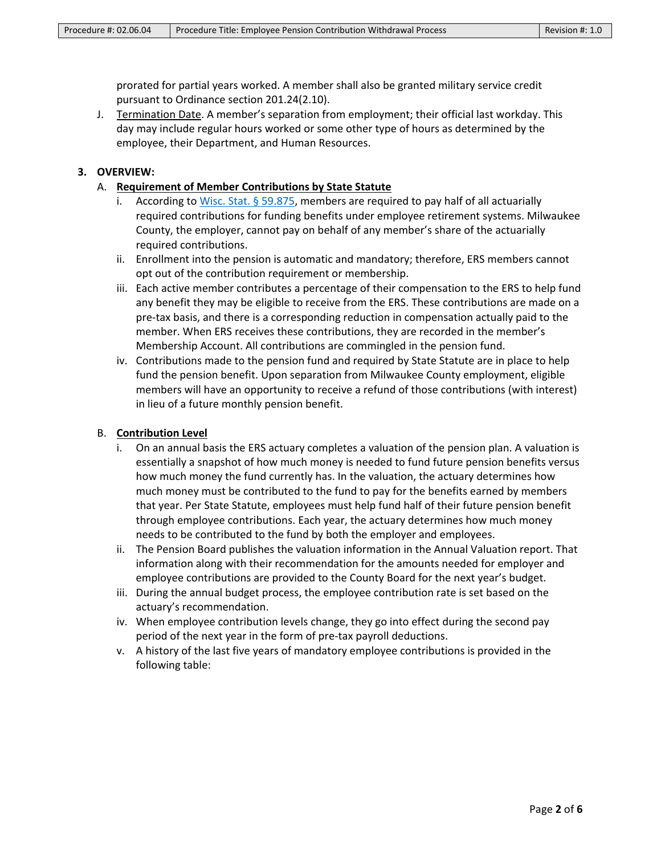prorated for partial years worked. A member shall also be granted military service credit pursuant to Ordinance section 201.24(2.10).

J. Termination Date. A member's separation from employment; their official last workday. This day may include regular hours worked or some other type of hours as determined by the employee, their Department, and Human Resources.

#### **3. OVERVIEW:**

- A. **Requirement of Member Contributions by State Statute**
	- i. According to [Wisc. Stat. § 59.875,](https://docs.legis.wisconsin.gov/statutes/statutes/59/viii/875) members are required to pay half of all actuarially required contributions for funding benefits under employee retirement systems. Milwaukee County, the employer, cannot pay on behalf of any member's share of the actuarially required contributions.
	- ii. Enrollment into the pension is automatic and mandatory; therefore, ERS members cannot opt out of the contribution requirement or membership.
	- iii. Each active member contributes a percentage of their compensation to the ERS to help fund any benefit they may be eligible to receive from the ERS. These contributions are made on a pre-tax basis, and there is a corresponding reduction in compensation actually paid to the member. When ERS receives these contributions, they are recorded in the member's Membership Account. All contributions are commingled in the pension fund.
	- iv. Contributions made to the pension fund and required by State Statute are in place to help fund the pension benefit. Upon separation from Milwaukee County employment, eligible members will have an opportunity to receive a refund of those contributions (with interest) in lieu of a future monthly pension benefit.

#### B. **Contribution Level**

- i. On an annual basis the ERS actuary completes a valuation of the pension plan. A valuation is essentially a snapshot of how much money is needed to fund future pension benefits versus how much money the fund currently has. In the valuation, the actuary determines how much money must be contributed to the fund to pay for the benefits earned by members that year. Per State Statute, employees must help fund half of their future pension benefit through employee contributions. Each year, the actuary determines how much money needs to be contributed to the fund by both the employer and employees.
- ii. The Pension Board publishes the valuation information in the Annual Valuation report. That information along with their recommendation for the amounts needed for employer and employee contributions are provided to the County Board for the next year's budget.
- iii. During the annual budget process, the employee contribution rate is set based on the actuary's recommendation.
- iv. When employee contribution levels change, they go into effect during the second pay period of the next year in the form of pre-tax payroll deductions.
- v. A history of the last five years of mandatory employee contributions is provided in the following table: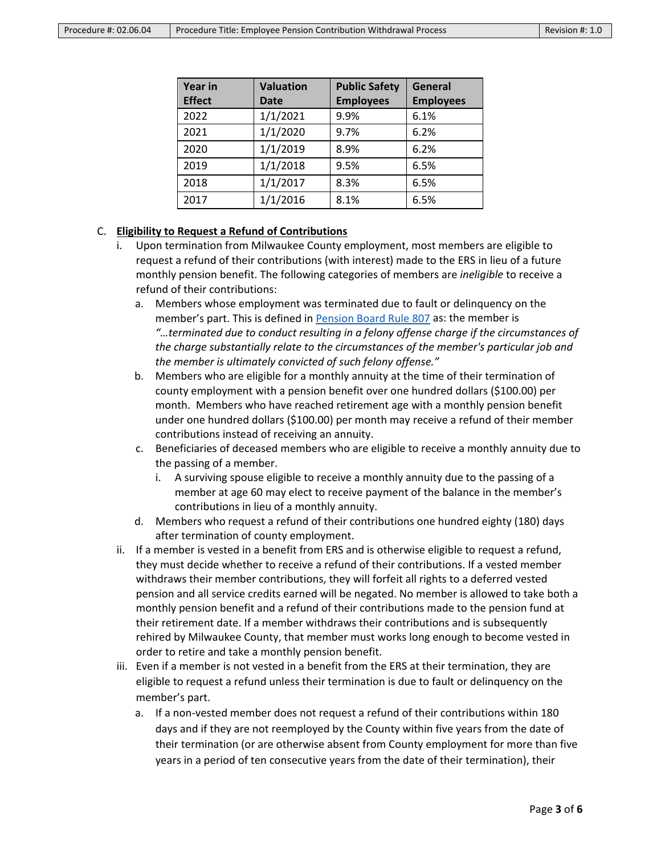| <b>Year in</b><br><b>Effect</b> | <b>Valuation</b><br>Date | <b>Public Safety</b><br><b>Employees</b> | <b>General</b><br><b>Employees</b> |
|---------------------------------|--------------------------|------------------------------------------|------------------------------------|
| 2022                            | 1/1/2021                 | 9.9%                                     | 6.1%                               |
| 2021                            | 1/1/2020                 | 9.7%                                     | 6.2%                               |
| 2020                            | 1/1/2019                 | 8.9%                                     | 6.2%                               |
| 2019                            | 1/1/2018                 | 9.5%                                     | 6.5%                               |
| 2018                            | 1/1/2017                 | 8.3%                                     | 6.5%                               |
| 2017                            | 1/1/2016                 | 8.1%                                     | 6.5%                               |

#### C. **Eligibility to Request a Refund of Contributions**

- i. Upon termination from Milwaukee County employment, most members are eligible to request a refund of their contributions (with interest) made to the ERS in lieu of a future monthly pension benefit. The following categories of members are *ineligible* to receive a refund of their contributions:
	- a. Members whose employment was terminated due to fault or delinquency on the member's part. This is defined i[n Pension Board Rule 807](https://library.municode.com/wi/milwaukee_county/codes/code_of_ordinances?nodeId=MICOCOGEORVOII_APXBRUEMRESY_DERE_807FADE) as: the member is *"…terminated due to conduct resulting in a felony offense charge if the circumstances of the charge substantially relate to the circumstances of the member's particular job and the member is ultimately convicted of such felony offense."*
	- b. Members who are eligible for a monthly annuity at the time of their termination of county employment with a pension benefit over one hundred dollars (\$100.00) per month. Members who have reached retirement age with a monthly pension benefit under one hundred dollars (\$100.00) per month may receive a refund of their member contributions instead of receiving an annuity.
	- c. Beneficiaries of deceased members who are eligible to receive a monthly annuity due to the passing of a member.
		- i. A surviving spouse eligible to receive a monthly annuity due to the passing of a member at age 60 may elect to receive payment of the balance in the member's contributions in lieu of a monthly annuity.
	- d. Members who request a refund of their contributions one hundred eighty (180) days after termination of county employment.
- ii. If a member is vested in a benefit from ERS and is otherwise eligible to request a refund, they must decide whether to receive a refund of their contributions. If a vested member withdraws their member contributions, they will forfeit all rights to a deferred vested pension and all service credits earned will be negated. No member is allowed to take both a monthly pension benefit and a refund of their contributions made to the pension fund at their retirement date. If a member withdraws their contributions and is subsequently rehired by Milwaukee County, that member must works long enough to become vested in order to retire and take a monthly pension benefit.
- iii. Even if a member is not vested in a benefit from the ERS at their termination, they are eligible to request a refund unless their termination is due to fault or delinquency on the member's part.
	- a. If a non-vested member does not request a refund of their contributions within 180 days and if they are not reemployed by the County within five years from the date of their termination (or are otherwise absent from County employment for more than five years in a period of ten consecutive years from the date of their termination), their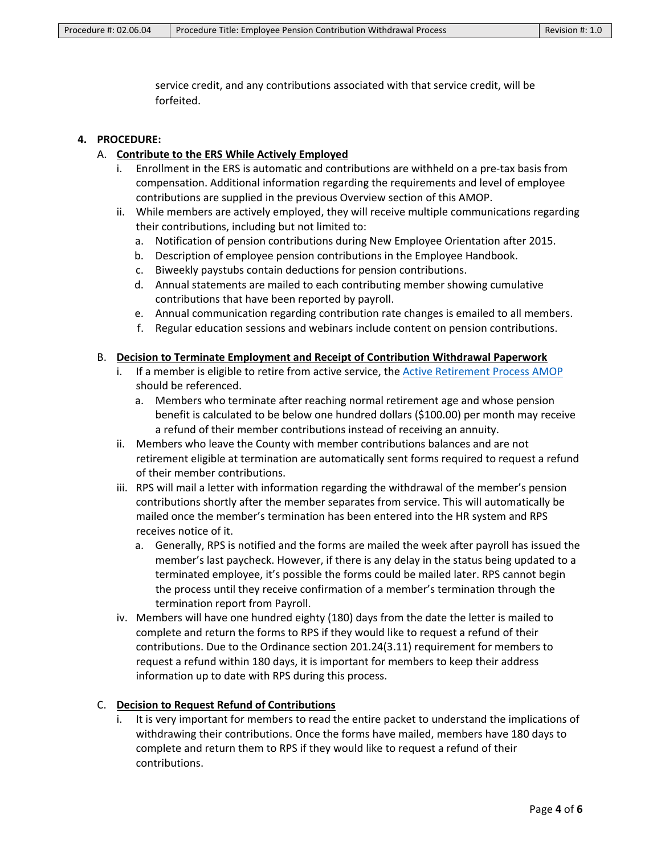service credit, and any contributions associated with that service credit, will be forfeited.

#### **4. PROCEDURE:**

- A. **Contribute to the ERS While Actively Employed**
	- i. Enrollment in the ERS is automatic and contributions are withheld on a pre-tax basis from compensation. Additional information regarding the requirements and level of employee contributions are supplied in the previous Overview section of this AMOP.
	- ii. While members are actively employed, they will receive multiple communications regarding their contributions, including but not limited to:
		- a. Notification of pension contributions during New Employee Orientation after 2015.
		- b. Description of employee pension contributions in the Employee Handbook.
		- c. Biweekly paystubs contain deductions for pension contributions.
		- d. Annual statements are mailed to each contributing member showing cumulative contributions that have been reported by payroll.
		- e. Annual communication regarding contribution rate changes is emailed to all members.
		- f. Regular education sessions and webinars include content on pension contributions.

#### B. **Decision to Terminate Employment and Receipt of Contribution Withdrawal Paperwork**

- i. If a member is eligible to retire from active service, the [Active Retirement Process AMOP](https://county.milwaukee.gov/files/county/administrative-services/AMOP/Chapter-2-Human-Resources/AMOP02.06.03ActiveRetirementProcess.pdf) should be referenced.
	- a. Members who terminate after reaching normal retirement age and whose pension benefit is calculated to be below one hundred dollars (\$100.00) per month may receive a refund of their member contributions instead of receiving an annuity.
- ii. Members who leave the County with member contributions balances and are not retirement eligible at termination are automatically sent forms required to request a refund of their member contributions.
- iii. RPS will mail a letter with information regarding the withdrawal of the member's pension contributions shortly after the member separates from service. This will automatically be mailed once the member's termination has been entered into the HR system and RPS receives notice of it.
	- a. Generally, RPS is notified and the forms are mailed the week after payroll has issued the member's last paycheck. However, if there is any delay in the status being updated to a terminated employee, it's possible the forms could be mailed later. RPS cannot begin the process until they receive confirmation of a member's termination through the termination report from Payroll.
- iv. Members will have one hundred eighty (180) days from the date the letter is mailed to complete and return the forms to RPS if they would like to request a refund of their contributions. Due to the Ordinance section 201.24(3.11) requirement for members to request a refund within 180 days, it is important for members to keep their address information up to date with RPS during this process.

#### C. **Decision to Request Refund of Contributions**

It is very important for members to read the entire packet to understand the implications of withdrawing their contributions. Once the forms have mailed, members have 180 days to complete and return them to RPS if they would like to request a refund of their contributions.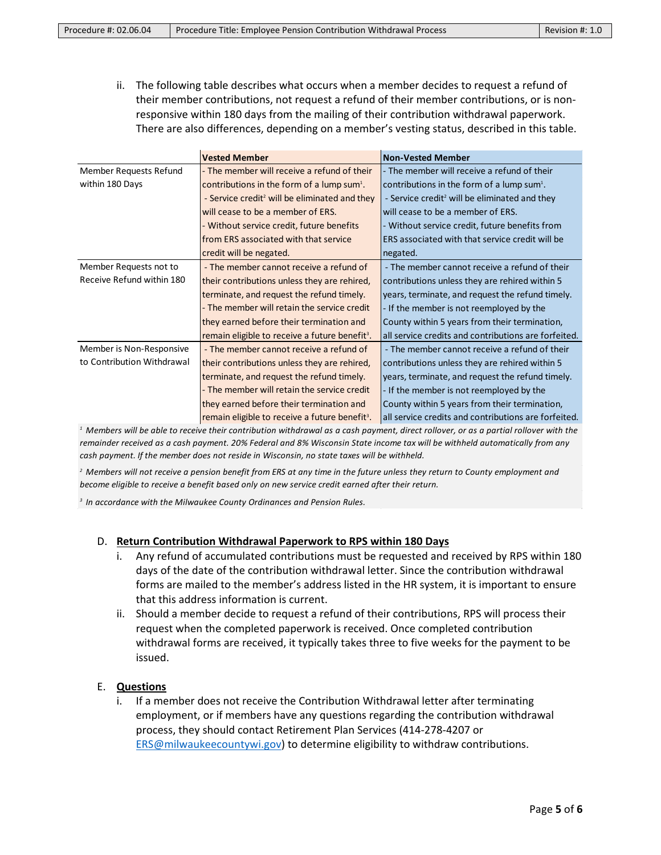ii. The following table describes what occurs when a member decides to request a refund of their member contributions, not request a refund of their member contributions, or is nonresponsive within 180 days from the mailing of their contribution withdrawal paperwork. There are also differences, depending on a member's vesting status, described in this table.

|                            | <b>Vested Member</b>                                       | <b>Non-Vested Member</b>                                  |
|----------------------------|------------------------------------------------------------|-----------------------------------------------------------|
| Member Requests Refund     | - The member will receive a refund of their                | - The member will receive a refund of their               |
| within 180 Days            | contributions in the form of a lump sum <sup>1</sup> .     | contributions in the form of a lump sum <sup>1</sup> .    |
|                            | - Service credit <sup>2</sup> will be eliminated and they  | - Service credit <sup>2</sup> will be eliminated and they |
|                            | will cease to be a member of ERS.                          | will cease to be a member of ERS.                         |
|                            | - Without service credit, future benefits                  | - Without service credit, future benefits from            |
|                            | from ERS associated with that service                      | ERS associated with that service credit will be           |
|                            | credit will be negated.                                    | negated.                                                  |
| Member Requests not to     | - The member cannot receive a refund of                    | - The member cannot receive a refund of their             |
| Receive Refund within 180  | their contributions unless they are rehired,               | contributions unless they are rehired within 5            |
|                            | terminate, and request the refund timely.                  | years, terminate, and request the refund timely.          |
|                            | - The member will retain the service credit                | - If the member is not reemployed by the                  |
|                            | they earned before their termination and                   | County within 5 years from their termination,             |
|                            | remain eligible to receive a future benefit <sup>3</sup> . | all service credits and contributions are forfeited.      |
| Member is Non-Responsive   | - The member cannot receive a refund of                    | - The member cannot receive a refund of their             |
| to Contribution Withdrawal | their contributions unless they are rehired,               | contributions unless they are rehired within 5            |
|                            | terminate, and request the refund timely.                  | years, terminate, and request the refund timely.          |
|                            | - The member will retain the service credit                | - If the member is not reemployed by the                  |
|                            | they earned before their termination and                   | County within 5 years from their termination,             |
|                            | remain eligible to receive a future benefit <sup>3</sup> . | all service credits and contributions are forfeited.      |

*1 Members will be able to receive their contribution withdrawal as a cash payment, direct rollover, or as a partial rollover with the remainder received as a cash payment. 20% Federal and 8% Wisconsin State income tax will be withheld automatically from any cash payment. If the member does not reside in Wisconsin, no state taxes will be withheld.* 

*2 Members will not receive a pension benefit from ERS at any time in the future unless they return to County employment and become eligible to receive a benefit based only on new service credit earned after their return.*

*3 In accordance with the Milwaukee County Ordinances and Pension Rules.* 

#### D. **Return Contribution Withdrawal Paperwork to RPS within 180 Days**

- i. Any refund of accumulated contributions must be requested and received by RPS within 180 days of the date of the contribution withdrawal letter. Since the contribution withdrawal forms are mailed to the member's address listed in the HR system, it is important to ensure that this address information is current.
- ii. Should a member decide to request a refund of their contributions, RPS will process their request when the completed paperwork is received. Once completed contribution withdrawal forms are received, it typically takes three to five weeks for the payment to be issued.

#### E. **Questions**

i. If a member does not receive the Contribution Withdrawal letter after terminating employment, or if members have any questions regarding the contribution withdrawal process, they should contact Retirement Plan Services (414-278-4207 or [ERS@milwaukeecountywi.gov\)](mailto:ERS@milwaukeecountywi.gov) to determine eligibility to withdraw contributions.